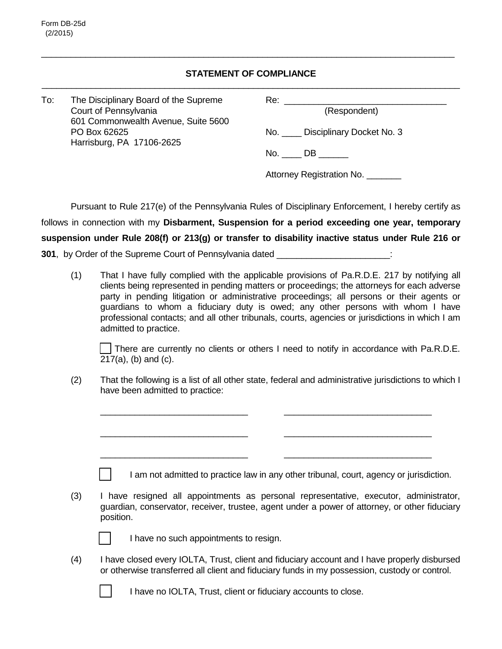## **STATEMENT OF COMPLIANCE**

\_\_\_\_\_\_\_\_\_\_\_\_\_\_\_\_\_\_\_\_\_\_\_\_\_\_\_\_\_\_\_\_\_\_\_\_\_\_\_\_\_\_\_\_\_\_\_\_\_\_\_\_\_\_\_\_\_\_\_\_\_\_\_\_\_\_\_\_\_\_\_\_\_\_\_\_\_\_\_\_\_\_\_\_

| To: |     | The Disciplinary Board of the Supreme<br>Court of Pennsylvania<br>601 Commonwealth Avenue, Suite 5600<br>PO Box 62625<br>Harrisburg, PA 17106-2625 | Re: <u>________________________________</u><br>(Respondent) |                                                                                                                                                                                                                                                                                                                                                                           |  |
|-----|-----|----------------------------------------------------------------------------------------------------------------------------------------------------|-------------------------------------------------------------|---------------------------------------------------------------------------------------------------------------------------------------------------------------------------------------------------------------------------------------------------------------------------------------------------------------------------------------------------------------------------|--|
|     |     |                                                                                                                                                    |                                                             |                                                                                                                                                                                                                                                                                                                                                                           |  |
|     |     |                                                                                                                                                    |                                                             | No. Disciplinary Docket No. 3                                                                                                                                                                                                                                                                                                                                             |  |
|     |     |                                                                                                                                                    |                                                             |                                                                                                                                                                                                                                                                                                                                                                           |  |
|     |     |                                                                                                                                                    |                                                             | $No. \_\_DB \_\_$                                                                                                                                                                                                                                                                                                                                                         |  |
|     |     |                                                                                                                                                    | Attorney Registration No. _______                           |                                                                                                                                                                                                                                                                                                                                                                           |  |
|     |     |                                                                                                                                                    |                                                             |                                                                                                                                                                                                                                                                                                                                                                           |  |
|     |     |                                                                                                                                                    |                                                             | Pursuant to Rule 217(e) of the Pennsylvania Rules of Disciplinary Enforcement, I hereby certify as                                                                                                                                                                                                                                                                        |  |
|     |     |                                                                                                                                                    |                                                             | follows in connection with my Disbarment, Suspension for a period exceeding one year, temporary                                                                                                                                                                                                                                                                           |  |
|     |     |                                                                                                                                                    |                                                             | suspension under Rule 208(f) or 213(g) or transfer to disability inactive status under Rule 216 or                                                                                                                                                                                                                                                                        |  |
|     |     | 301, by Order of the Supreme Court of Pennsylvania dated ______________________:                                                                   |                                                             |                                                                                                                                                                                                                                                                                                                                                                           |  |
|     | (1) |                                                                                                                                                    |                                                             | That I have fully complied with the applicable provisions of Pa.R.D.E. 217 by notifying all<br>clients being represented in pending matters or proceedings; the attorneys for each adverse<br>party in pending litigation or administrative proceedings; all persons or their agents or<br>guardians to whom a fiduciary duty is owed; any other persons with whom I have |  |

There are currently no clients or others I need to notify in accordance with Pa.R.D.E. 217(a), (b) and (c).

\_\_\_\_\_\_\_\_\_\_\_\_\_\_\_\_\_\_\_\_\_\_\_\_\_\_\_\_\_\_

\_\_\_\_\_\_\_\_\_\_\_\_\_\_\_\_\_\_\_\_\_\_\_\_\_\_\_\_\_\_

\_\_\_\_\_\_\_\_\_\_\_\_\_\_\_\_\_\_\_\_\_\_\_\_\_\_\_\_\_\_

professional contacts; and all other tribunals, courts, agencies or jurisdictions in which I am

(2) That the following is a list of all other state, federal and administrative jurisdictions to which I have been admitted to practice:

| (3) | I have resigned all appointments as personal representative, executor, administrator,         |  |  |  |
|-----|-----------------------------------------------------------------------------------------------|--|--|--|
|     | guardian, conservator, receiver, trustee, agent under a power of attorney, or other fiduciary |  |  |  |
|     | position.                                                                                     |  |  |  |

I am not admitted to practice law in any other tribunal, court, agency or jurisdiction.



 $\Box$ 

admitted to practice.

\_\_\_\_\_\_\_\_\_\_\_\_\_\_\_\_\_\_\_\_\_\_\_\_\_\_\_\_\_\_

\_\_\_\_\_\_\_\_\_\_\_\_\_\_\_\_\_\_\_\_\_\_\_\_\_\_\_\_\_\_

\_\_\_\_\_\_\_\_\_\_\_\_\_\_\_\_\_\_\_\_\_\_\_\_\_\_\_\_\_\_

I have no such appointments to resign.

(4) I have closed every IOLTA, Trust, client and fiduciary account and I have properly disbursed or otherwise transferred all client and fiduciary funds in my possession, custody or control.

I have no IOLTA, Trust, client or fiduciary accounts to close.